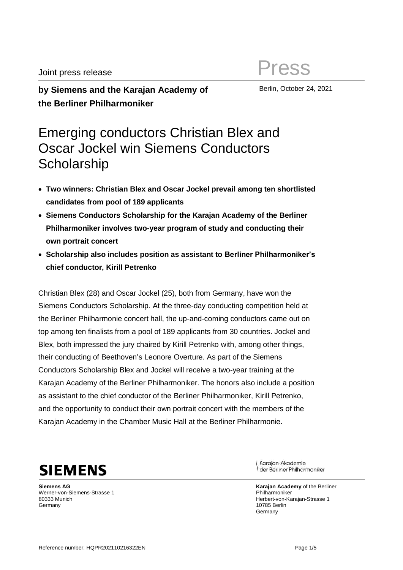**by Siemens and the Karajan Academy of the Berliner Philharmoniker**

Berlin, October 24, 2021

# Emerging conductors Christian Blex and Oscar Jockel win Siemens Conductors **Scholarship**

- **Two winners: Christian Blex and Oscar Jockel prevail among ten shortlisted candidates from pool of 189 applicants**
- **Siemens Conductors Scholarship for the Karajan Academy of the Berliner Philharmoniker involves two-year program of study and conducting their own portrait concert**
- **Scholarship also includes position as assistant to Berliner Philharmoniker's chief conductor, Kirill Petrenko**

Christian Blex (28) and Oscar Jockel (25), both from Germany, have won the Siemens Conductors Scholarship. At the three-day conducting competition held at the Berliner Philharmonie concert hall, the up-and-coming conductors came out on top among ten finalists from a pool of 189 applicants from 30 countries. Jockel and Blex, both impressed the jury chaired by Kirill Petrenko with, among other things, their conducting of Beethoven's Leonore Overture. As part of the Siemens Conductors Scholarship Blex and Jockel will receive a two-year training at the Karajan Academy of the Berliner Philharmoniker. The honors also include a position as assistant to the chief conductor of the Berliner Philharmoniker, Kirill Petrenko, and the opportunity to conduct their own portrait concert with the members of the Karajan Academy in the Chamber Music Hall at the Berliner Philharmonie.



**Siemens AG** Werner-von-Siemens-Strasse 1 80333 Munich **Germany** 

Karajan-Akademie der Berliner Philharmoniker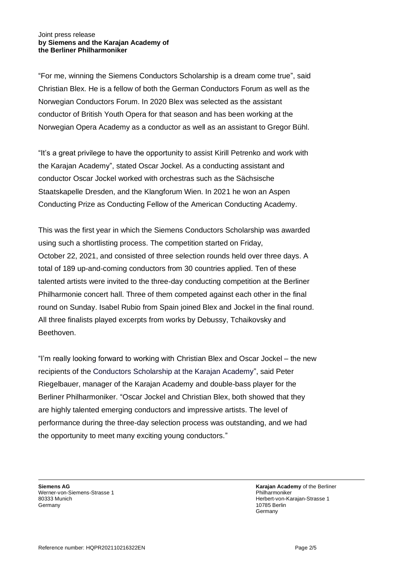"For me, winning the Siemens Conductors Scholarship is a dream come true", said Christian Blex. He is a fellow of both the German Conductors Forum as well as the Norwegian Conductors Forum. In 2020 Blex was selected as the assistant conductor of British Youth Opera for that season and has been working at the Norwegian Opera Academy as a conductor as well as an assistant to Gregor Bühl.

"It's a great privilege to have the opportunity to assist Kirill Petrenko and work with the Karajan Academy", stated Oscar Jockel. As a conducting assistant and conductor Oscar Jockel worked with orchestras such as the Sächsische Staatskapelle Dresden, and the Klangforum Wien. In 2021 he won an Aspen Conducting Prize as Conducting Fellow of the American Conducting Academy.

This was the first year in which the Siemens Conductors Scholarship was awarded using such a shortlisting process. The competition started on Friday, October 22, 2021, and consisted of three selection rounds held over three days. A total of 189 up-and-coming conductors from 30 countries applied. Ten of these talented artists were invited to the three-day conducting competition at the Berliner Philharmonie concert hall. Three of them competed against each other in the final round on Sunday. Isabel Rubio from Spain joined Blex and Jockel in the final round. All three finalists played excerpts from works by Debussy, Tchaikovsky and Beethoven.

"I'm really looking forward to working with Christian Blex and Oscar Jockel – the new recipients of the Conductors Scholarship at the Karajan Academy", said Peter Riegelbauer, manager of the Karajan Academy and double-bass player for the Berliner Philharmoniker. "Oscar Jockel and Christian Blex, both showed that they are highly talented emerging conductors and impressive artists. The level of performance during the three-day selection process was outstanding, and we had the opportunity to meet many exciting young conductors."

**Siemens AG** Werner-von-Siemens-Strasse 1 80333 Munich **Germany**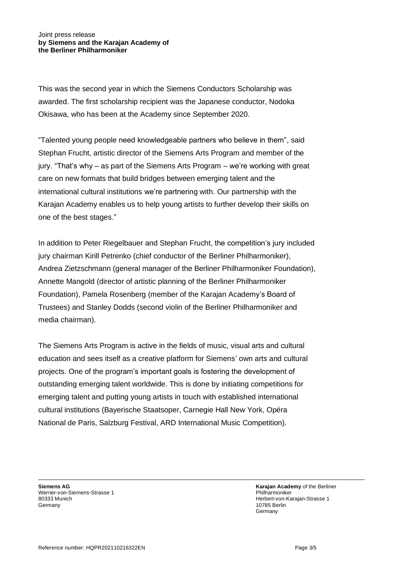This was the second year in which the Siemens Conductors Scholarship was awarded. The first scholarship recipient was the Japanese conductor, Nodoka Okisawa, who has been at the Academy since September 2020.

"Talented young people need knowledgeable partners who believe in them", said Stephan Frucht, artistic director of the Siemens Arts Program and member of the jury. "That's why – as part of the Siemens Arts Program – we're working with great care on new formats that build bridges between emerging talent and the international cultural institutions we're partnering with. Our partnership with the Karajan Academy enables us to help young artists to further develop their skills on one of the best stages."

In addition to Peter Riegelbauer and Stephan Frucht, the competition's jury included jury chairman Kirill Petrenko (chief conductor of the Berliner Philharmoniker), Andrea Zietzschmann (general manager of the Berliner Philharmoniker Foundation), Annette Mangold (director of artistic planning of the Berliner Philharmoniker Foundation), Pamela Rosenberg (member of the Karajan Academy's Board of Trustees) and Stanley Dodds (second violin of the Berliner Philharmoniker and media chairman).

The Siemens Arts Program is active in the fields of music, visual arts and cultural education and sees itself as a creative platform for Siemens' own arts and cultural projects. One of the program's important goals is fostering the development of outstanding emerging talent worldwide. This is done by initiating competitions for emerging talent and putting young artists in touch with established international cultural institutions (Bayerische Staatsoper, Carnegie Hall New York, Opéra National de Paris, Salzburg Festival, ARD International Music Competition).

**Siemens AG** Werner-von-Siemens-Strasse 1 80333 Munich **Germany**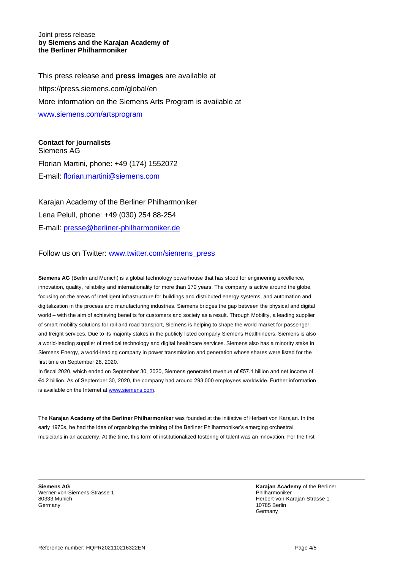This press release and **press images** are available at https://press.siemens.com/global/en More information on the Siemens Arts Program is available at [www.siemens.com/artsprogram](http://www.siemens.com/artsprogram)

**Contact for journalists**

Siemens AG Florian Martini, phone: +49 (174) 1552072 E-mail: [florian.martini@siemens.com](mailto:florian.martini@siemens.com)

Karajan Academy of the Berliner Philharmoniker Lena Pelull, phone: +49 (030) 254 88-254 E-mail: [presse@berliner-philharmoniker.de](mailto:presse@berliner-philharmoniker.de)

Follow us on Twitter: [www.twitter.com/siemens\\_press](http://www.twitter.com/siemens_press)

**Siemens AG** (Berlin and Munich) is a global technology powerhouse that has stood for engineering excellence, innovation, quality, reliability and internationality for more than 170 years. The company is active around the globe, focusing on the areas of intelligent infrastructure for buildings and distributed energy systems, and automation and digitalization in the process and manufacturing industries. Siemens bridges the gap between the physical and digital world – with the aim of achieving benefits for customers and society as a result. Through Mobility, a leading supplier of smart mobility solutions for rail and road transport, Siemens is helping to shape the world market for passenger and freight services. Due to its majority stakes in the publicly listed company Siemens Healthineers, Siemens is also a world-leading supplier of medical technology and digital healthcare services. Siemens also has a minority stake in Siemens Energy, a world-leading company in power transmission and generation whose shares were listed for the first time on September 28, 2020.

In fiscal 2020, which ended on September 30, 2020, Siemens generated revenue of €57.1 billion and net income of €4.2 billion. As of September 30, 2020, the company had around 293,000 employees worldwide. Further information is available on the Internet at [www.siemens.com.](http://www.siemens.com/)

The **Karajan Academy of the Berliner Philharmoniker** was founded at the initiative of Herbert von Karajan. In the early 1970s, he had the idea of organizing the training of the Berliner Philharmoniker's emerging orchestral musicians in an academy. At the time, this form of institutionalized fostering of talent was an innovation. For the first

**Siemens AG** Werner-von-Siemens-Strasse 1 80333 Munich Germany